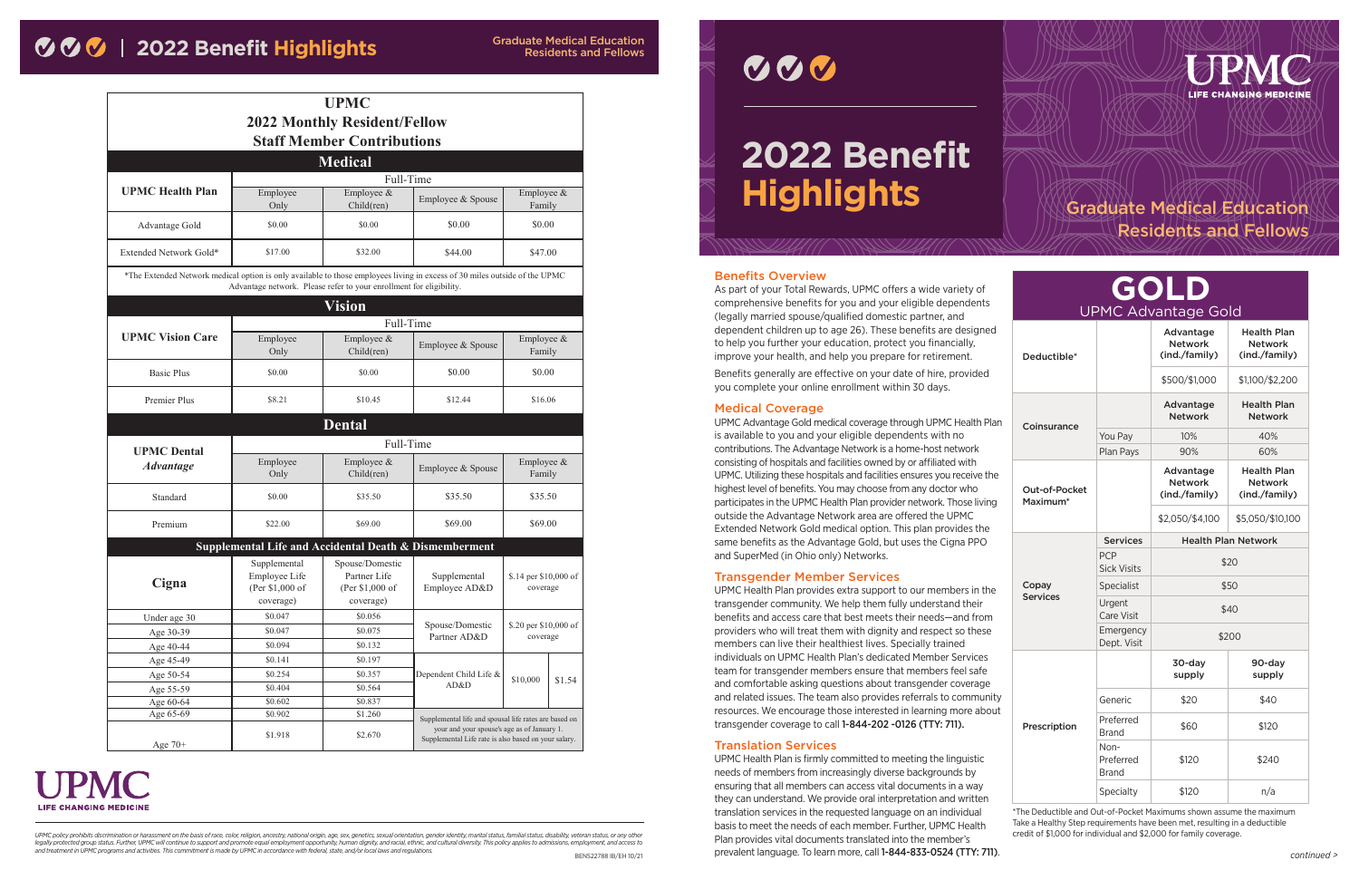#### Benefits Overview

As part of your Total Rewards, UPMC offers a wide variety of comprehensive benefits for you and your eligible dependents (legally married spouse/qualified domestic partner, and dependent children up to age 26). These benefits are designed to help you further your education, protect you financially, improve your health, and help you prepare for retirement.

Benefits generally are effective on your date of hire, provided you complete your online enrollment within 30 days.

#### Medical Coverage

UPMC Advantage Gold medical coverage through UPMC Health Plan is available to you and your eligible dependents with no contributions. The Advantage Network is a home-host network consisting of hospitals and facilities owned by or affiliated with UPMC. Utilizing these hospitals and facilities ensures you receive the highest level of benefits. You may choose from any doctor who participates in the UPMC Health Plan provider network. Those living outside the Advantage Network area are offered the UPMC Extended Network Gold medical option. This plan provides the same benefits as the Advantage Gold, but uses the Cigna PPO and SuperMed (in Ohio only) Networks.

UPMC Health Plan is firmly committed to meeting the linguistic needs of members from increasingly diverse backgrounds by ensuring that all members can access vital documents in a way they can understand. We provide oral interpretation and written translation services in the requested language on an individual basis to meet the needs of each member. Further, UPMC Health Plan provides vital documents translated into the member's prevalent language. To learn more, call 1-844-833-0524 (TTY: 711). Preferred Brand \$120 \$240 Specialty \$120 n/a \*The Deductible and Out-of-Pocket Maximums shown assume the maximum Take a Healthy Step requirements have been met, resulting in a deductible credit of \$1,000 for individual and \$2,000 for family coverage. legally protected group status. Further, UPMC will continue to support and promote equal employment opportunity, human dignity, and racial, ethnic, and cultural diversity. This policy applies to admissions, employment, and



#### Transgender Member Services

UPMC Health Plan provides extra support to our members in the transgender community. We help them fully understand their benefits and access care that best meets their needs—and from providers who will treat them with dignity and respect so these members can live their healthiest lives. Specially trained individuals on UPMC Health Plan's dedicated Member Services team for transgender members ensure that members feel safe and comfortable asking questions about transgender coverage and related issues. The team also provides referrals to community resources. We encourage those interested in learning more about transgender coverage to call 1-844-202 -0126 (TTY: 711).

#### Translation Services

| GOLD<br>UPMC Advantage Gold |                                   |                                              |                                                       |  |
|-----------------------------|-----------------------------------|----------------------------------------------|-------------------------------------------------------|--|
| Deductible*                 |                                   | Advantage<br><b>Network</b><br>(ind./family) | <b>Health Plan</b><br><b>Network</b><br>(ind./family) |  |
|                             |                                   | \$500/\$1,000                                | \$1,100/\$2,200                                       |  |
|                             |                                   | Advantage<br><b>Network</b>                  | <b>Health Plan</b><br><b>Network</b>                  |  |
| Coinsurance                 | You Pay                           | 10%                                          | 40%                                                   |  |
|                             | Plan Pays                         | 90%                                          | 60%                                                   |  |
| Out-of-Pocket<br>Maximum*   |                                   | Advantage<br><b>Network</b><br>(ind./family) | <b>Health Plan</b><br><b>Network</b><br>(ind./family) |  |
|                             |                                   | \$2,050/\$4,100                              | \$5,050/\$10,100                                      |  |
|                             | <b>Services</b>                   |                                              | <b>Health Plan Network</b>                            |  |
|                             | <b>PCP</b><br><b>Sick Visits</b>  | \$20                                         |                                                       |  |
| Copay                       | Specialist                        | \$50                                         |                                                       |  |
| <b>Services</b>             |                                   |                                              |                                                       |  |
|                             | Urgent<br><b>Care Visit</b>       |                                              | \$40                                                  |  |
|                             | Emergency<br>Dept. Visit          |                                              | \$200                                                 |  |
|                             |                                   | 30-day<br>supply                             | 90-day<br>supply                                      |  |
|                             | Generic                           | \$20                                         | \$40                                                  |  |
| Prescription                | Preferred<br><b>Brand</b>         | \$60                                         | \$120                                                 |  |
|                             | Non-<br>Preferred<br><b>Brand</b> | \$120                                        | \$240                                                 |  |

|                                                                                                                            |                                                               | <b>UPMC</b>                                                         |                                                                                                                                                              |                                   |        |
|----------------------------------------------------------------------------------------------------------------------------|---------------------------------------------------------------|---------------------------------------------------------------------|--------------------------------------------------------------------------------------------------------------------------------------------------------------|-----------------------------------|--------|
|                                                                                                                            |                                                               | <b>2022 Monthly Resident/Fellow</b>                                 |                                                                                                                                                              |                                   |        |
| <b>Staff Member Contributions</b>                                                                                          |                                                               |                                                                     |                                                                                                                                                              |                                   |        |
| <b>Medical</b>                                                                                                             |                                                               |                                                                     |                                                                                                                                                              |                                   |        |
|                                                                                                                            | Full-Time                                                     |                                                                     |                                                                                                                                                              |                                   |        |
| <b>UPMC Health Plan</b>                                                                                                    | Employee<br>Only                                              | Employee &<br>Child(ren)                                            | Employee & Spouse                                                                                                                                            | Employee &<br>Family              |        |
| Advantage Gold                                                                                                             | \$0.00                                                        | \$0.00                                                              | \$0.00                                                                                                                                                       | \$0.00                            |        |
| Extended Network Gold*                                                                                                     | \$17.00                                                       | \$32.00                                                             | \$44.00                                                                                                                                                      | \$47.00                           |        |
| *The Extended Network medical option is only available to those employees living in excess of 30 miles outside of the UPMC |                                                               | Advantage network. Please refer to your enrollment for eligibility. |                                                                                                                                                              |                                   |        |
|                                                                                                                            |                                                               | <b>Vision</b>                                                       |                                                                                                                                                              |                                   |        |
|                                                                                                                            |                                                               | Full-Time                                                           |                                                                                                                                                              |                                   |        |
| <b>UPMC Vision Care</b>                                                                                                    | Employee<br>Only                                              | Employee &<br>Child(ren)                                            | Employee & Spouse                                                                                                                                            | Employee &<br>Family              |        |
| <b>Basic Plus</b>                                                                                                          | \$0.00                                                        | \$0.00                                                              | \$0.00                                                                                                                                                       | \$0.00                            |        |
| <b>Premier Plus</b>                                                                                                        | \$8.21                                                        | \$10.45                                                             | \$12.44                                                                                                                                                      | \$16.06                           |        |
|                                                                                                                            |                                                               | <b>Dental</b>                                                       |                                                                                                                                                              |                                   |        |
| <b>UPMC</b> Dental                                                                                                         | Full-Time                                                     |                                                                     |                                                                                                                                                              |                                   |        |
| <b>Advantage</b>                                                                                                           | Employee<br>Only                                              | Employee &<br>Child(ren)                                            | Employee & Spouse                                                                                                                                            | Employee &<br>Family              |        |
| Standard                                                                                                                   | \$0.00                                                        | \$35.50                                                             | \$35.50                                                                                                                                                      | \$35.50                           |        |
| Premium                                                                                                                    | \$22.00                                                       | \$69.00                                                             | \$69.00<br>\$69.00                                                                                                                                           |                                   |        |
|                                                                                                                            | Supplemental Life and Accidental Death & Dismemberment        |                                                                     |                                                                                                                                                              |                                   |        |
| Cigna                                                                                                                      | Supplemental<br>Employee Life<br>(Per \$1,000 of<br>coverage) | Spouse/Domestic<br>Partner Life<br>(Per \$1,000 of<br>coverage)     | Supplemental<br>Employee AD&D                                                                                                                                | \$.14 per \$10,000 of<br>coverage |        |
| Under age 30                                                                                                               | \$0.047                                                       | \$0.056                                                             |                                                                                                                                                              |                                   |        |
| Age 30-39                                                                                                                  | \$0.047                                                       | \$0.075                                                             | Spouse/Domestic<br>\$.20 per \$10,000 of<br>Partner AD&D<br>coverage                                                                                         |                                   |        |
| Age 40-44                                                                                                                  | \$0.094                                                       | \$0.132                                                             |                                                                                                                                                              |                                   |        |
| Age 45-49                                                                                                                  | \$0.141                                                       | \$0.197                                                             |                                                                                                                                                              |                                   |        |
| Age 50-54                                                                                                                  | \$0.254                                                       | \$0.357                                                             | Dependent Child Life &                                                                                                                                       | \$10,000                          | \$1.54 |
| Age 55-59                                                                                                                  | \$0.404                                                       | \$0.564                                                             | AD&D                                                                                                                                                         |                                   |        |
| Age 60-64                                                                                                                  | \$0.602                                                       | \$0.837                                                             |                                                                                                                                                              |                                   |        |
| Age 65-69<br>Age 70+                                                                                                       | \$0.902<br>\$1.918                                            | \$1.260<br>\$2.670                                                  | Supplemental life and spousal life rates are based on<br>your and your spouse's age as of January 1.<br>Supplemental Life rate is also based on your salary. |                                   |        |

# **LIFE CHANGING MEDICINE**

UPMC policy prohibits discrimination or harassment on the basis of race, color, religion, ancestry, national origin, age, sex, genetics, sexual orientation, gender identity, marital status, familial status, disability, vet



### Graduate Medical Education Residents and Fellows

## **2022 Benefit Highlights**

Residents and Fellows